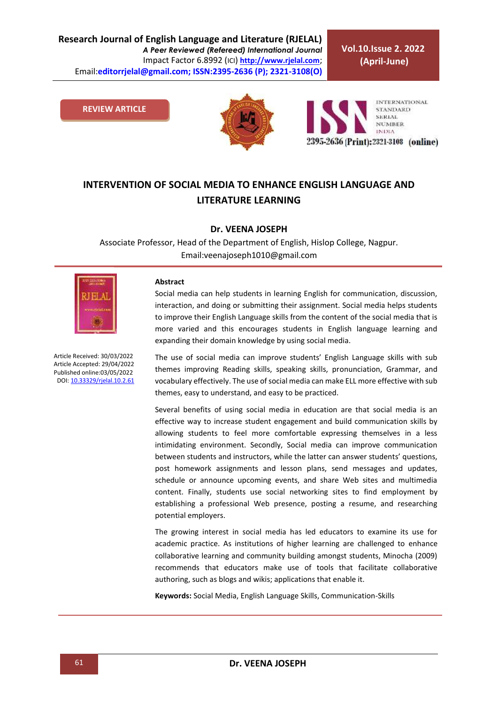**Vol.10.Issue 2. 2022 (April-June)**

**REVIEW ARTICLE**



**INTERNATIONAL STANDARD SERIAL NUMBER INDIA** 2395-2636 (Print): 2321-3108 (online)

# **INTERVENTION OF SOCIAL MEDIA TO ENHANCE ENGLISH LANGUAGE AND LITERATURE LEARNING**

#### **Dr. VEENA JOSEPH**

Associate Professor, Head of the Department of English, Hislop College, Nagpur. Email:veenajoseph1010@gmail.com



Article Received: 30/03/2022 Article Accepted: 29/04/2022 Published online:03/05/2022 DOI[: 10.33329/rjelal.10.2.6](http://www.rjelal.com/)1

#### **Abstract**

Social media can help students in learning English for communication, discussion, interaction, and doing or submitting their assignment. Social media helps students to improve their English Language skills from the content of the social media that is more varied and this encourages students in English language learning and expanding their domain knowledge by using social media.

The use of social media can improve students' English Language skills with sub themes improving Reading skills, speaking skills, pronunciation, Grammar, and vocabulary effectively. The use of social media can make ELL more effective with sub themes, easy to understand, and easy to be practiced.

Several benefits of using social media in education are that social media is an effective way to increase student engagement and build communication skills by allowing students to feel more comfortable expressing themselves in a less intimidating environment. Secondly, Social media can improve communication between students and instructors, while the latter can answer students' questions, post homework assignments and lesson plans, send messages and updates, schedule or announce upcoming events, and share Web sites and multimedia content. Finally, students use social networking sites to find employment by establishing a professional Web presence, posting a resume, and researching potential employers.

The growing interest in social media has led educators to examine its use for academic practice. As institutions of higher learning are challenged to enhance collaborative learning and community building amongst students, Minocha (2009) recommends that educators make use of tools that facilitate collaborative authoring, such as blogs and wikis; applications that enable it.

**Keywords:** Social Media, English Language Skills, Communication-Skills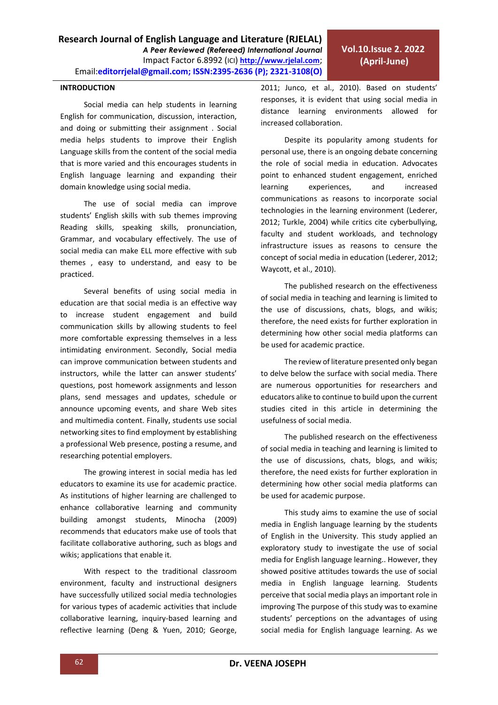### **INTRODUCTION**

Social media can help students in learning English for communication, discussion, interaction, and doing or submitting their assignment . Social media helps students to improve their English Language skills from the content of the social media that is more varied and this encourages students in English language learning and expanding their domain knowledge using social media.

The use of social media can improve students' English skills with sub themes improving Reading skills, speaking skills, pronunciation, Grammar, and vocabulary effectively. The use of social media can make ELL more effective with sub themes , easy to understand, and easy to be practiced.

Several benefits of using social media in education are that social media is an effective way to increase student engagement and build communication skills by allowing students to feel more comfortable expressing themselves in a less intimidating environment. Secondly, Social media can improve communication between students and instructors, while the latter can answer students' questions, post homework assignments and lesson plans, send messages and updates, schedule or announce upcoming events, and share Web sites and multimedia content. Finally, students use social networking sites to find employment by establishing a professional Web presence, posting a resume, and researching potential employers.

The growing interest in social media has led educators to examine its use for academic practice. As institutions of higher learning are challenged to enhance collaborative learning and community building amongst students, Minocha (2009) recommends that educators make use of tools that facilitate collaborative authoring, such as blogs and wikis; applications that enable it.

With respect to the traditional classroom environment, faculty and instructional designers have successfully utilized social media technologies for various types of academic activities that include collaborative learning, inquiry-based learning and reflective learning (Deng & Yuen, 2010; George,

2011; Junco, et al., 2010). Based on students' responses, it is evident that using social media in distance learning environments allowed for increased collaboration.

Despite its popularity among students for personal use, there is an ongoing debate concerning the role of social media in education. Advocates point to enhanced student engagement, enriched learning experiences, and increased communications as reasons to incorporate social technologies in the learning environment (Lederer, 2012; Turkle, 2004) while critics cite cyberbullying, faculty and student workloads, and technology infrastructure issues as reasons to censure the concept of social media in education (Lederer, 2012; Waycott, et al., 2010).

The published research on the effectiveness of social media in teaching and learning is limited to the use of discussions, chats, blogs, and wikis; therefore, the need exists for further exploration in determining how other social media platforms can be used for academic practice.

The review of literature presented only began to delve below the surface with social media. There are numerous opportunities for researchers and educators alike to continue to build upon the current studies cited in this article in determining the usefulness of social media.

The published research on the effectiveness of social media in teaching and learning is limited to the use of discussions, chats, blogs, and wikis; therefore, the need exists for further exploration in determining how other social media platforms can be used for academic purpose.

This study aims to examine the use of social media in English language learning by the students of English in the University. This study applied an exploratory study to investigate the use of social media for English language learning.. However, they showed positive attitudes towards the use of social media in English language learning. Students perceive that social media plays an important role in improving The purpose of this study was to examine students' perceptions on the advantages of using social media for English language learning. As we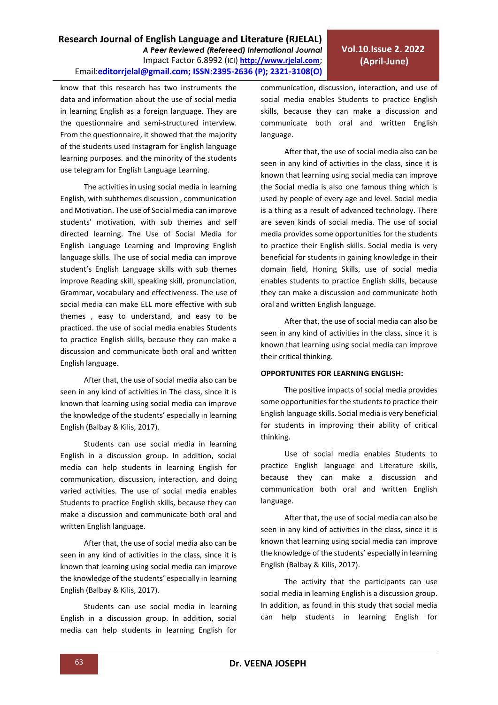know that this research has two instruments the data and information about the use of social media in learning English as a foreign language. They are the questionnaire and semi-structured interview. From the questionnaire, it showed that the majority of the students used Instagram for English language learning purposes. and the minority of the students use telegram for English Language Learning.

The activities in using social media in learning English, with subthemes discussion , communication and Motivation. The use of Social media can improve students' motivation, with sub themes and self directed learning. The Use of Social Media for English Language Learning and Improving English language skills. The use of social media can improve student's English Language skills with sub themes improve Reading skill, speaking skill, pronunciation, Grammar, vocabulary and effectiveness. The use of social media can make ELL more effective with sub themes , easy to understand, and easy to be practiced. the use of social media enables Students to practice English skills, because they can make a discussion and communicate both oral and written English language.

After that, the use of social media also can be seen in any kind of activities in The class, since it is known that learning using social media can improve the knowledge of the students' especially in learning English (Balbay & Kilis, 2017).

Students can use social media in learning English in a discussion group. In addition, social media can help students in learning English for communication, discussion, interaction, and doing varied activities. The use of social media enables Students to practice English skills, because they can make a discussion and communicate both oral and written English language.

After that, the use of social media also can be seen in any kind of activities in the class, since it is known that learning using social media can improve the knowledge of the students' especially in learning English (Balbay & Kilis, 2017).

Students can use social media in learning English in a discussion group. In addition, social media can help students in learning English for communication, discussion, interaction, and use of social media enables Students to practice English skills, because they can make a discussion and communicate both oral and written English language.

After that, the use of social media also can be seen in any kind of activities in the class, since it is known that learning using social media can improve the Social media is also one famous thing which is used by people of every age and level. Social media is a thing as a result of advanced technology. There are seven kinds of social media. The use of social media provides some opportunities for the students to practice their English skills. Social media is very beneficial for students in gaining knowledge in their domain field, Honing Skills, use of social media enables students to practice English skills, because they can make a discussion and communicate both oral and written English language.

After that, the use of social media can also be seen in any kind of activities in the class, since it is known that learning using social media can improve their critical thinking.

#### **OPPORTUNITES FOR LEARNING ENGLISH:**

The positive impacts of social media provides some opportunities for the students to practice their English language skills. Social media is very beneficial for students in improving their ability of critical thinking.

Use of social media enables Students to practice English language and Literature skills, because they can make a discussion and communication both oral and written English language.

After that, the use of social media can also be seen in any kind of activities in the class, since it is known that learning using social media can improve the knowledge of the students' especially in learning English (Balbay & Kilis, 2017).

The activity that the participants can use social media in learning English is a discussion group. In addition, as found in this study that social media can help students in learning English for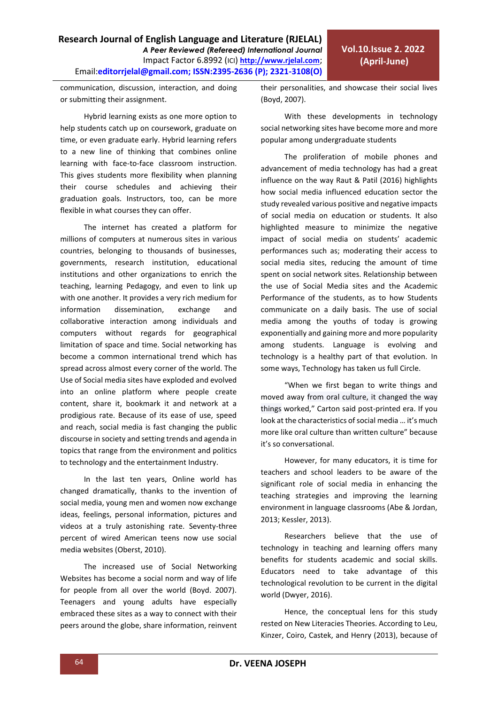communication, discussion, interaction, and doing or submitting their assignment.

Hybrid learning exists as one more option to help students catch up on coursework, graduate on time, or even graduate early. Hybrid learning refers to a new line of thinking that combines online learning with face-to-face classroom instruction. This gives students more flexibility when planning their course schedules and achieving their graduation goals. Instructors, too, can be more flexible in what courses they can offer.

The internet has created a platform for millions of computers at numerous sites in various countries, belonging to thousands of businesses, governments, research institution, educational institutions and other organizations to enrich the teaching, learning Pedagogy, and even to link up with one another. It provides a very rich medium for information dissemination, exchange and collaborative interaction among individuals and computers without regards for geographical limitation of space and time. Social networking has become a common international trend which has spread across almost every corner of the world. The Use of Social media sites have exploded and evolved into an online platform where people create content, share it, bookmark it and network at a prodigious rate. Because of its ease of use, speed and reach, social media is fast changing the public discourse in society and setting trends and agenda in topics that range from the environment and politics to technology and the entertainment Industry.

In the last ten years, Online world has changed dramatically, thanks to the invention of social media, young men and women now exchange ideas, feelings, personal information, pictures and videos at a truly astonishing rate. Seventy-three percent of wired American teens now use social media websites (Oberst, 2010).

The increased use of Social Networking Websites has become a social norm and way of life for people from all over the world (Boyd. 2007). Teenagers and young adults have especially embraced these sites as a way to connect with their peers around the globe, share information, reinvent their personalities, and showcase their social lives (Boyd, 2007).

With these developments in technology social networking sites have become more and more popular among undergraduate students

The proliferation of mobile phones and advancement of media technology has had a great influence on the way Raut & Patil (2016) highlights how social media influenced education sector the study revealed various positive and negative impacts of social media on education or students. It also highlighted measure to minimize the negative impact of social media on students' academic performances such as; moderating their access to social media sites, reducing the amount of time spent on social network sites. Relationship between the use of Social Media sites and the Academic Performance of the students, as to how Students communicate on a daily basis. The use of social media among the youths of today is growing exponentially and gaining more and more popularity among students. Language is evolving and technology is a healthy part of that evolution. In some ways, Technology has taken us full Circle.

"When we first began to write things and moved away from oral culture, it changed the way things worked," Carton said post-printed era. If you look at the characteristics of social media … it's much more like oral culture than written culture" because it's so conversational.

However, for many educators, it is time for teachers and school leaders to be aware of the significant role of social media in enhancing the teaching strategies and improving the learning environment in language classrooms (Abe & Jordan, 2013; Kessler, 2013).

Researchers believe that the use of technology in teaching and learning offers many benefits for students academic and social skills. Educators need to take advantage of this technological revolution to be current in the digital world (Dwyer, 2016).

Hence, the conceptual lens for this study rested on New Literacies Theories. According to Leu, Kinzer, Coiro, Castek, and Henry (2013), because of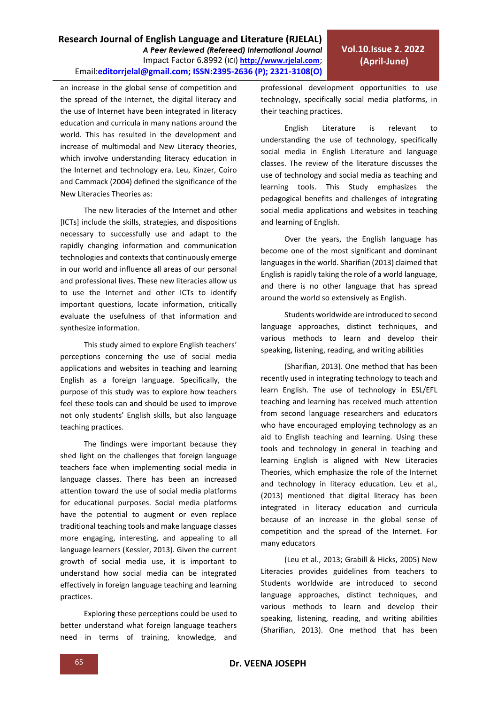an increase in the global sense of competition and the spread of the Internet, the digital literacy and the use of Internet have been integrated in literacy education and curricula in many nations around the world. This has resulted in the development and increase of multimodal and New Literacy theories, which involve understanding literacy education in the Internet and technology era. Leu, Kinzer, Coiro and Cammack (2004) defined the significance of the New Literacies Theories as:

The new literacies of the Internet and other [ICTs] include the skills, strategies, and dispositions necessary to successfully use and adapt to the rapidly changing information and communication technologies and contexts that continuously emerge in our world and influence all areas of our personal and professional lives. These new literacies allow us to use the Internet and other ICTs to identify important questions, locate information, critically evaluate the usefulness of that information and synthesize information.

This study aimed to explore English teachers' perceptions concerning the use of social media applications and websites in teaching and learning English as a foreign language. Specifically, the purpose of this study was to explore how teachers feel these tools can and should be used to improve not only students' English skills, but also language teaching practices.

The findings were important because they shed light on the challenges that foreign language teachers face when implementing social media in language classes. There has been an increased attention toward the use of social media platforms for educational purposes. Social media platforms have the potential to augment or even replace traditional teaching tools and make language classes more engaging, interesting, and appealing to all language learners (Kessler, 2013). Given the current growth of social media use, it is important to understand how social media can be integrated effectively in foreign language teaching and learning practices.

Exploring these perceptions could be used to better understand what foreign language teachers need in terms of training, knowledge, and professional development opportunities to use technology, specifically social media platforms, in their teaching practices.

English Literature is relevant to understanding the use of technology, specifically social media in English Literature and language classes. The review of the literature discusses the use of technology and social media as teaching and learning tools. This Study emphasizes the pedagogical benefits and challenges of integrating social media applications and websites in teaching and learning of English.

Over the years, the English language has become one of the most significant and dominant languages in the world. Sharifian (2013) claimed that English is rapidly taking the role of a world language, and there is no other language that has spread around the world so extensively as English.

Students worldwide are introduced to second language approaches, distinct techniques, and various methods to learn and develop their speaking, listening, reading, and writing abilities

(Sharifian, 2013). One method that has been recently used in integrating technology to teach and learn English. The use of technology in ESL/EFL teaching and learning has received much attention from second language researchers and educators who have encouraged employing technology as an aid to English teaching and learning. Using these tools and technology in general in teaching and learning English is aligned with New Literacies Theories, which emphasize the role of the Internet and technology in literacy education. Leu et al., (2013) mentioned that digital literacy has been integrated in literacy education and curricula because of an increase in the global sense of competition and the spread of the Internet. For many educators

(Leu et al., 2013; Grabill & Hicks, 2005) New Literacies provides guidelines from teachers to Students worldwide are introduced to second language approaches, distinct techniques, and various methods to learn and develop their speaking, listening, reading, and writing abilities (Sharifian, 2013). One method that has been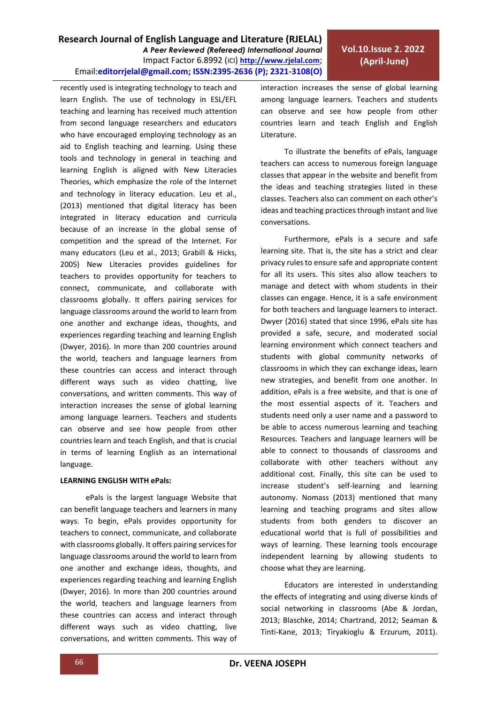recently used is integrating technology to teach and learn English. The use of technology in ESL/EFL teaching and learning has received much attention from second language researchers and educators who have encouraged employing technology as an aid to English teaching and learning. Using these tools and technology in general in teaching and learning English is aligned with New Literacies Theories, which emphasize the role of the Internet and technology in literacy education. Leu et al., (2013) mentioned that digital literacy has been integrated in literacy education and curricula because of an increase in the global sense of competition and the spread of the Internet. For many educators (Leu et al., 2013; Grabill & Hicks, 2005) New Literacies provides guidelines for teachers to provides opportunity for teachers to connect, communicate, and collaborate with classrooms globally. It offers pairing services for language classrooms around the world to learn from one another and exchange ideas, thoughts, and experiences regarding teaching and learning English (Dwyer, 2016). In more than 200 countries around the world, teachers and language learners from these countries can access and interact through different ways such as video chatting, live conversations, and written comments. This way of interaction increases the sense of global learning among language learners. Teachers and students can observe and see how people from other countries learn and teach English, and that is crucial in terms of learning English as an international language.

### **LEARNING ENGLISH WITH ePals:**

ePals is the largest language Website that can benefit language teachers and learners in many ways. To begin, ePals provides opportunity for teachers to connect, communicate, and collaborate with classrooms globally. It offers pairing services for language classrooms around the world to learn from one another and exchange ideas, thoughts, and experiences regarding teaching and learning English (Dwyer, 2016). In more than 200 countries around the world, teachers and language learners from these countries can access and interact through different ways such as video chatting, live conversations, and written comments. This way of interaction increases the sense of global learning among language learners. Teachers and students can observe and see how people from other countries learn and teach English and English Literature.

To illustrate the benefits of ePals, language teachers can access to numerous foreign language classes that appear in the website and benefit from the ideas and teaching strategies listed in these classes. Teachers also can comment on each other's ideas and teaching practices through instant and live conversations.

Furthermore, ePals is a secure and safe learning site. That is, the site has a strict and clear privacy rules to ensure safe and appropriate content for all its users. This sites also allow teachers to manage and detect with whom students in their classes can engage. Hence, it is a safe environment for both teachers and language learners to interact. Dwyer (2016) stated that since 1996, ePals site has provided a safe, secure, and moderated social learning environment which connect teachers and students with global community networks of classrooms in which they can exchange ideas, learn new strategies, and benefit from one another. In addition, ePals is a free website, and that is one of the most essential aspects of it. Teachers and students need only a user name and a password to be able to access numerous learning and teaching Resources. Teachers and language learners will be able to connect to thousands of classrooms and collaborate with other teachers without any additional cost. Finally, this site can be used to increase student's self-learning and learning autonomy. Nomass (2013) mentioned that many learning and teaching programs and sites allow students from both genders to discover an educational world that is full of possibilities and ways of learning. These learning tools encourage independent learning by allowing students to choose what they are learning.

Educators are interested in understanding the effects of integrating and using diverse kinds of social networking in classrooms (Abe & Jordan, 2013; Blaschke, 2014; Chartrand, 2012; Seaman & Tinti-Kane, 2013; Tiryakioglu & Erzurum, 2011).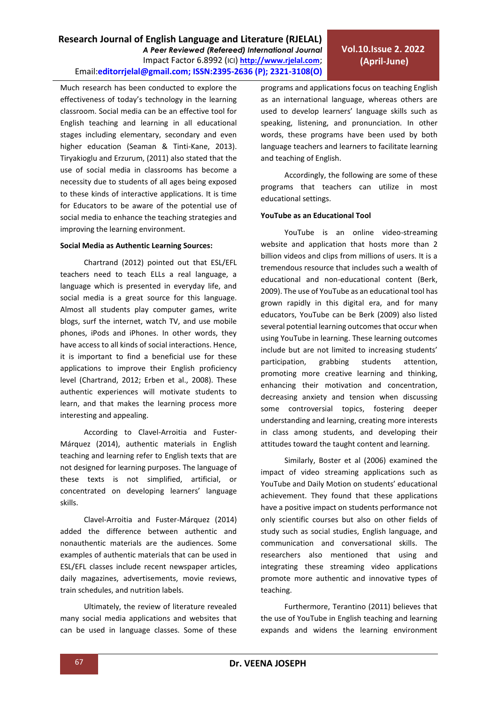Much research has been conducted to explore the effectiveness of today's technology in the learning classroom. Social media can be an effective tool for English teaching and learning in all educational stages including elementary, secondary and even higher education (Seaman & Tinti-Kane, 2013). Tiryakioglu and Erzurum, (2011) also stated that the use of social media in classrooms has become a necessity due to students of all ages being exposed to these kinds of interactive applications. It is time for Educators to be aware of the potential use of social media to enhance the teaching strategies and improving the learning environment.

### **Social Media as Authentic Learning Sources:**

Chartrand (2012) pointed out that ESL/EFL teachers need to teach ELLs a real language, a language which is presented in everyday life, and social media is a great source for this language. Almost all students play computer games, write blogs, surf the internet, watch TV, and use mobile phones, iPods and iPhones. In other words, they have access to all kinds of social interactions. Hence, it is important to find a beneficial use for these applications to improve their English proficiency level (Chartrand, 2012; Erben et al., 2008). These authentic experiences will motivate students to learn, and that makes the learning process more interesting and appealing.

According to Clavel-Arroitia and Fuster-Márquez (2014), authentic materials in English teaching and learning refer to English texts that are not designed for learning purposes. The language of these texts is not simplified, artificial, or concentrated on developing learners' language skills.

Clavel-Arroitia and Fuster-Márquez (2014) added the difference between authentic and nonauthentic materials are the audiences. Some examples of authentic materials that can be used in ESL/EFL classes include recent newspaper articles, daily magazines, advertisements, movie reviews, train schedules, and nutrition labels.

Ultimately, the review of literature revealed many social media applications and websites that can be used in language classes. Some of these programs and applications focus on teaching English as an international language, whereas others are used to develop learners' language skills such as speaking, listening, and pronunciation. In other words, these programs have been used by both language teachers and learners to facilitate learning and teaching of English.

Accordingly, the following are some of these programs that teachers can utilize in most educational settings.

### **YouTube as an Educational Tool**

YouTube is an online video-streaming website and application that hosts more than 2 billion videos and clips from millions of users. It is a tremendous resource that includes such a wealth of educational and non-educational content (Berk, 2009). The use of YouTube as an educational tool has grown rapidly in this digital era, and for many educators, YouTube can be Berk (2009) also listed several potential learning outcomes that occur when using YouTube in learning. These learning outcomes include but are not limited to increasing students' participation, grabbing students attention, promoting more creative learning and thinking, enhancing their motivation and concentration, decreasing anxiety and tension when discussing some controversial topics, fostering deeper understanding and learning, creating more interests in class among students, and developing their attitudes toward the taught content and learning.

Similarly, Boster et al (2006) examined the impact of video streaming applications such as YouTube and Daily Motion on students' educational achievement. They found that these applications have a positive impact on students performance not only scientific courses but also on other fields of study such as social studies, English language, and communication and conversational skills. The researchers also mentioned that using and integrating these streaming video applications promote more authentic and innovative types of teaching.

Furthermore, Terantino (2011) believes that the use of YouTube in English teaching and learning expands and widens the learning environment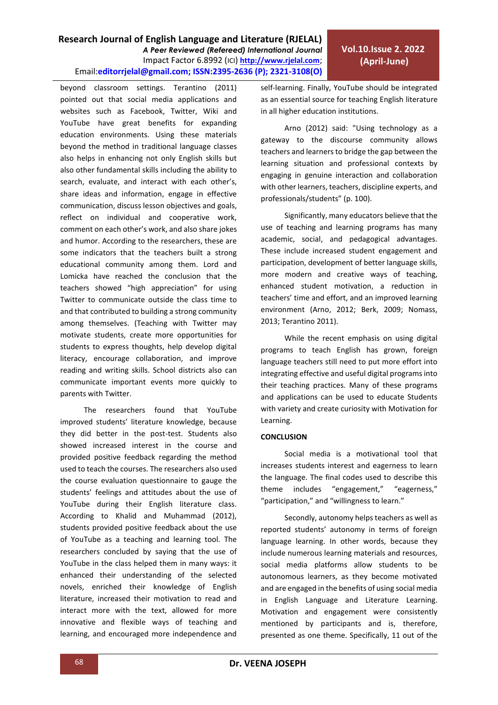beyond classroom settings. Terantino (2011) pointed out that social media applications and websites such as Facebook, Twitter, Wiki and YouTube have great benefits for expanding education environments. Using these materials beyond the method in traditional language classes also helps in enhancing not only English skills but also other fundamental skills including the ability to search, evaluate, and interact with each other's, share ideas and information, engage in effective communication, discuss lesson objectives and goals, reflect on individual and cooperative work, comment on each other's work, and also share jokes and humor. According to the researchers, these are some indicators that the teachers built a strong educational community among them. Lord and Lomicka have reached the conclusion that the teachers showed "high appreciation" for using Twitter to communicate outside the class time to and that contributed to building a strong community among themselves. (Teaching with Twitter may motivate students, create more opportunities for students to express thoughts, help develop digital literacy, encourage collaboration, and improve reading and writing skills. School districts also can communicate important events more quickly to parents with Twitter.

The researchers found that YouTube improved students' literature knowledge, because they did better in the post-test. Students also showed increased interest in the course and provided positive feedback regarding the method used to teach the courses. The researchers also used the course evaluation questionnaire to gauge the students' feelings and attitudes about the use of YouTube during their English literature class. According to Khalid and Muhammad (2012), students provided positive feedback about the use of YouTube as a teaching and learning tool. The researchers concluded by saying that the use of YouTube in the class helped them in many ways: it enhanced their understanding of the selected novels, enriched their knowledge of English literature, increased their motivation to read and interact more with the text, allowed for more innovative and flexible ways of teaching and learning, and encouraged more independence and self-learning. Finally, YouTube should be integrated as an essential source for teaching English literature in all higher education institutions.

Arno (2012) said: "Using technology as a gateway to the discourse community allows teachers and learners to bridge the gap between the learning situation and professional contexts by engaging in genuine interaction and collaboration with other learners, teachers, discipline experts, and professionals/students" (p. 100).

Significantly, many educators believe that the use of teaching and learning programs has many academic, social, and pedagogical advantages. These include increased student engagement and participation, development of better language skills, more modern and creative ways of teaching, enhanced student motivation, a reduction in teachers' time and effort, and an improved learning environment (Arno, 2012; Berk, 2009; Nomass, 2013; Terantino 2011).

While the recent emphasis on using digital programs to teach English has grown, foreign language teachers still need to put more effort into integrating effective and useful digital programs into their teaching practices. Many of these programs and applications can be used to educate Students with variety and create curiosity with Motivation for Learning.

### **CONCLUSION**

Social media is a motivational tool that increases students interest and eagerness to learn the language. The final codes used to describe this theme includes "engagement," "eagerness," "participation," and "willingness to learn."

Secondly, autonomy helps teachers as well as reported students' autonomy in terms of foreign language learning. In other words, because they include numerous learning materials and resources, social media platforms allow students to be autonomous learners, as they become motivated and are engaged in the benefits of using social media in English Language and Literature Learning. Motivation and engagement were consistently mentioned by participants and is, therefore, presented as one theme. Specifically, 11 out of the